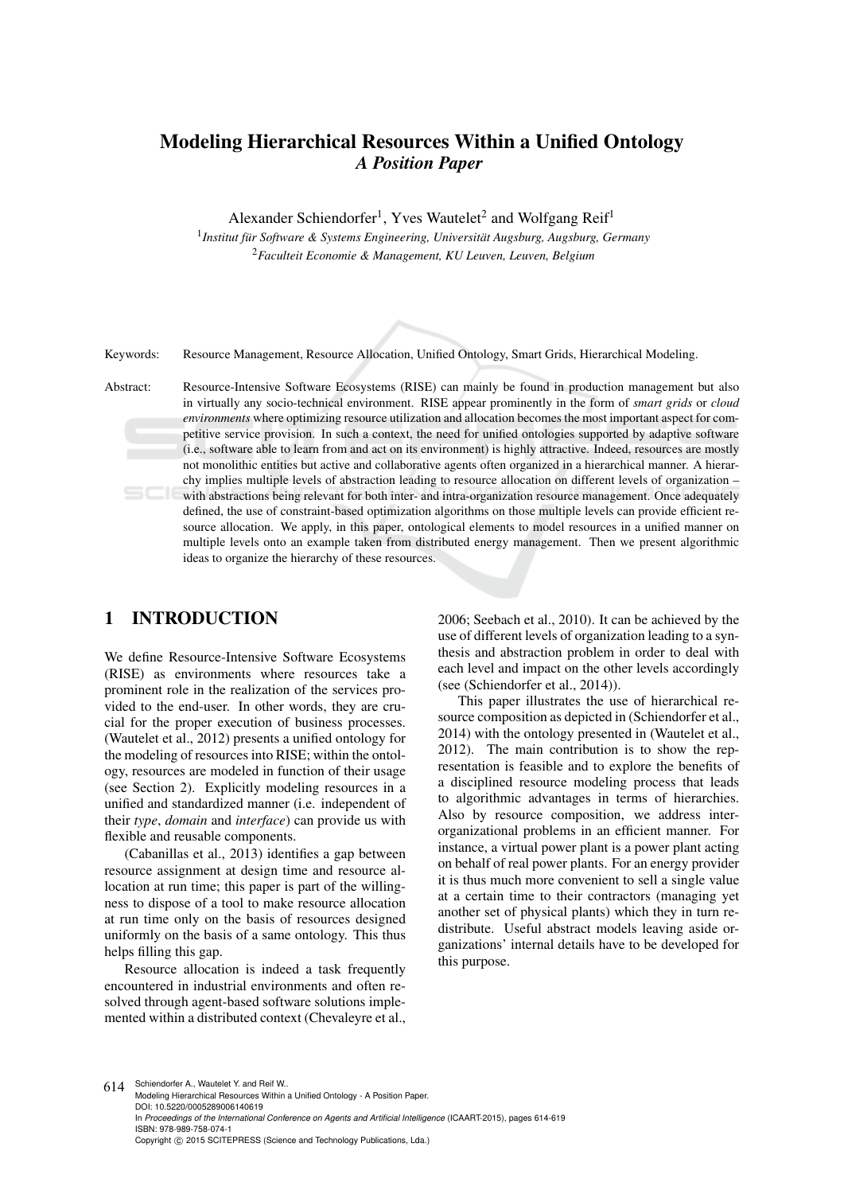## Modeling Hierarchical Resources Within a Unified Ontology *A Position Paper*

Alexander Schiendorfer<sup>1</sup>, Yves Wautelet<sup>2</sup> and Wolfgang Reif<sup>1</sup>

<sup>1</sup> Institut für Software & Systems Engineering, Universität Augsburg, Augsburg, Germany <sup>2</sup>*Faculteit Economie & Management, KU Leuven, Leuven, Belgium*

Keywords: Resource Management, Resource Allocation, Unified Ontology, Smart Grids, Hierarchical Modeling.

Abstract: Resource-Intensive Software Ecosystems (RISE) can mainly be found in production management but also in virtually any socio-technical environment. RISE appear prominently in the form of *smart grids* or *cloud environments* where optimizing resource utilization and allocation becomes the most important aspect for competitive service provision. In such a context, the need for unified ontologies supported by adaptive software (i.e., software able to learn from and act on its environment) is highly attractive. Indeed, resources are mostly not monolithic entities but active and collaborative agents often organized in a hierarchical manner. A hierarchy implies multiple levels of abstraction leading to resource allocation on different levels of organization – with abstractions being relevant for both inter- and intra-organization resource management. Once adequately defined, the use of constraint-based optimization algorithms on those multiple levels can provide efficient resource allocation. We apply, in this paper, ontological elements to model resources in a unified manner on multiple levels onto an example taken from distributed energy management. Then we present algorithmic ideas to organize the hierarchy of these resources.

## 1 INTRODUCTION

We define Resource-Intensive Software Ecosystems (RISE) as environments where resources take a prominent role in the realization of the services provided to the end-user. In other words, they are crucial for the proper execution of business processes. (Wautelet et al., 2012) presents a unified ontology for the modeling of resources into RISE; within the ontology, resources are modeled in function of their usage (see Section 2). Explicitly modeling resources in a unified and standardized manner (i.e. independent of their *type*, *domain* and *interface*) can provide us with flexible and reusable components.

(Cabanillas et al., 2013) identifies a gap between resource assignment at design time and resource allocation at run time; this paper is part of the willingness to dispose of a tool to make resource allocation at run time only on the basis of resources designed uniformly on the basis of a same ontology. This thus helps filling this gap.

Resource allocation is indeed a task frequently encountered in industrial environments and often resolved through agent-based software solutions implemented within a distributed context (Chevaleyre et al.,

2006; Seebach et al., 2010). It can be achieved by the use of different levels of organization leading to a synthesis and abstraction problem in order to deal with each level and impact on the other levels accordingly (see (Schiendorfer et al., 2014)).

This paper illustrates the use of hierarchical resource composition as depicted in (Schiendorfer et al., 2014) with the ontology presented in (Wautelet et al., 2012). The main contribution is to show the representation is feasible and to explore the benefits of a disciplined resource modeling process that leads to algorithmic advantages in terms of hierarchies. Also by resource composition, we address interorganizational problems in an efficient manner. For instance, a virtual power plant is a power plant acting on behalf of real power plants. For an energy provider it is thus much more convenient to sell a single value at a certain time to their contractors (managing yet another set of physical plants) which they in turn redistribute. Useful abstract models leaving aside organizations' internal details have to be developed for this purpose.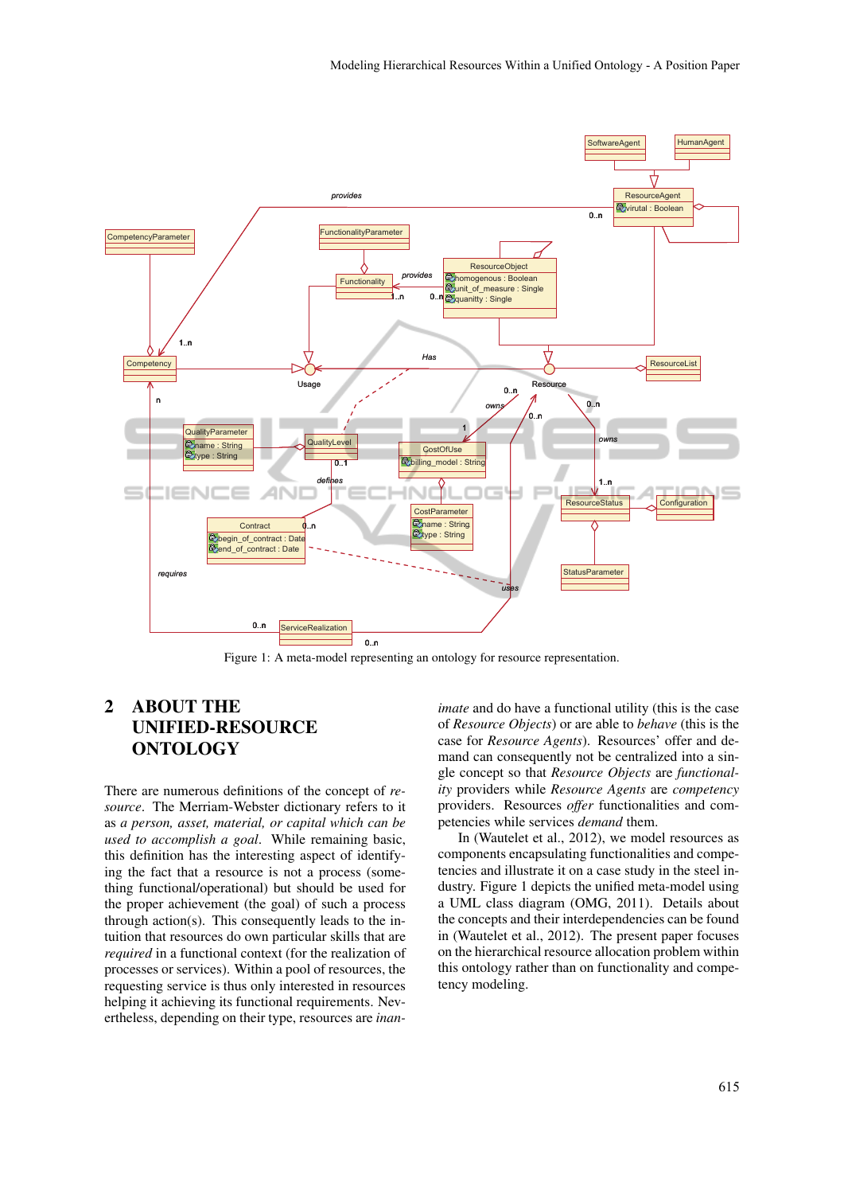

Figure 1: A meta-model representing an ontology for resource representation.

## 2 ABOUT THE UNIFIED-RESOURCE ONTOLOGY

There are numerous definitions of the concept of *resource*. The Merriam-Webster dictionary refers to it as *a person, asset, material, or capital which can be used to accomplish a goal*. While remaining basic, this definition has the interesting aspect of identifying the fact that a resource is not a process (something functional/operational) but should be used for the proper achievement (the goal) of such a process through action(s). This consequently leads to the intuition that resources do own particular skills that are *required* in a functional context (for the realization of processes or services). Within a pool of resources, the requesting service is thus only interested in resources helping it achieving its functional requirements. Nevertheless, depending on their type, resources are *inan-*

*imate* and do have a functional utility (this is the case of *Resource Objects*) or are able to *behave* (this is the case for *Resource Agents*). Resources' offer and demand can consequently not be centralized into a single concept so that *Resource Objects* are *functionality* providers while *Resource Agents* are *competency* providers. Resources *offer* functionalities and competencies while services *demand* them.

In (Wautelet et al., 2012), we model resources as components encapsulating functionalities and competencies and illustrate it on a case study in the steel industry. Figure 1 depicts the unified meta-model using a UML class diagram (OMG, 2011). Details about the concepts and their interdependencies can be found in (Wautelet et al., 2012). The present paper focuses on the hierarchical resource allocation problem within this ontology rather than on functionality and competency modeling.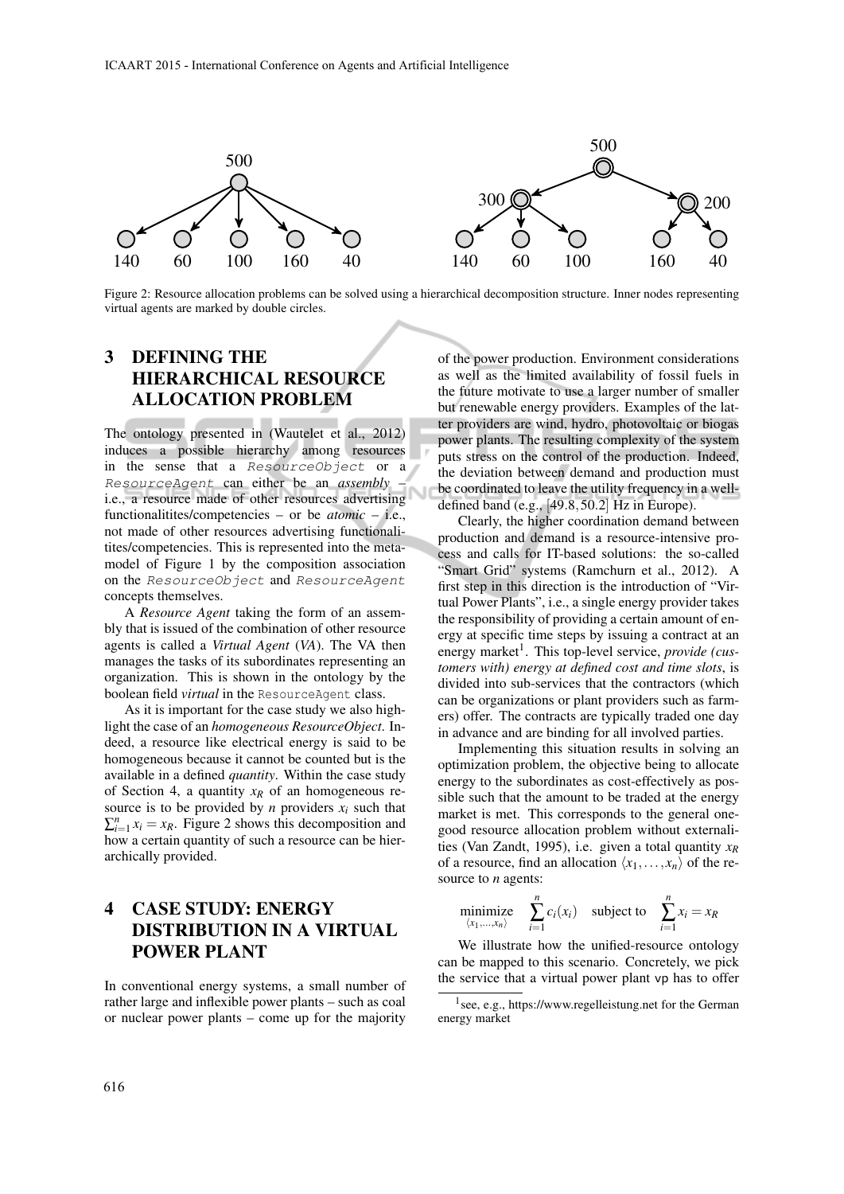

virtual agents are marked by double circles. Figure 2: Resource allocation problems can be solved using a hierarchical decomposition structure. Inner nodes representing

ture. Inner nodes representing virtual agents are marked by double circles.

# 3 DEFINING THE HIERARCHICAL RESOURCE

such that the amount to be the amount of the energy market is met. The energy power plants. The resulting complexity of the system induces a possible hierarchy among resources in the sense that a Resource Object or a the deviation between demand and production must<br>Resource least as the total of the deviation between demand and production must be coordinated to leave the utility frequency in a well-<br>i.e., a resource made of other resources advertising defined band (e.g., [49.8, 50.2] Hz in Europe). functionalities/competencies – or be *atomic* – i.e., moder or right 1 by the composition association<br>on the ResourceObject and ResourceAgent  $\frac{1}{2}$  concepts themselves. This is represented into the meta-<br>  $\log$  by the composition association<br>  $\log$  and ResourceAgent The ontology presented in (Wautelet et al., 2012) in the sense that a ResourceObject or a ResourceAgent can either be an *assembly* – not made of other resources advertising functionalitites/competencies. This is represented into the metamodel of Figure 1 by the composition association

A *Resource Agent* taking the form of an assembly that is issued of the combination of other resource agents is called a *Virtual Agent* (*VA*). The VA then organization. This is shown in the ontology by the boolean field *virtual* in the ResourceAgent class.

For the sake of an *homogeneous ResourceObject*. In in advance and are binding for all involved parties. light the case of an *homogeneous ResourceObject*. Indeed, a resource like electrical energy is said to be available in a defined *quantity*. Within the case study of Section 4, a quantity  $x_R$  of an homogeneous resource is to be provided by  $n$  providers  $x_i$  such that how a certain quantity of such a resource can be hierarchically provided.

#### **SERVICE REALIZATION PROVIDE ENERGY** AT  $\lim_{\langle x_1,...,x_n \rangle} \sum_{i=1}^n c_i(x_i)$  sub **INDUTION IN A VIRTUAL** We illustrate how the unified-resource ontology<br>
We illustrate how the unified-resource ontology 4 CASE STUDY: ENERGY DISTRIBUTION IN A VIRTUAL POWER PLANT

In conventional energy systems, a small number of  $\frac{d}{dx}$  at 15.17.16, expressional energy systems, a small number of The bm and hy power plants can firstly be defined as *ResourceAgent*. We define: rather large and inflexible power plants – such as coal or nuclear power plants – come up for the majority

ALLOCATION PROBLEM<br>
Internewable energy providers. Examples of the lat-The optology presented in (Woutelet et al. 2012) ter providers are wind, hydro, photovoltaic or biogas of the power production. Environment considerations as well as the limited availability of fossil fuels in the future motivate to use a larger number of smaller but renewable energy providers. Examples of the latpower plants. The resulting complexity of the system puts stress on the control of the production. Indeed, be coordinated to leave the utility frequency in a welldefined band (e.g., [49.8,50.2] Hz in Europe).

"Smart Grid" systems (Ramchurn et al., 2012). A by that is issued of the combination of other resource ergy at specific time steps by issuing a contract at an  $\frac{1}{2}$  concrete that a virtual power provide (cus-<br>manages the tasks of its subordinates representing an *tomers with) energy mathemax at defined cost and time slots* is organization. This is shown in the ontology by the divided into sub-services that the contractors (which had no server  $\ell$  and  $\ell$  and  $\ell$  and  $\ell$  and  $\ell$  and  $\ell$  and  $\ell$  and  $\ell$  and  $\ell$  and  $\ell$  and  $\ell$  and  $\ell$  $\frac{1}{\sqrt{1-\frac{1}{\sqrt{1-\frac{1}{\sqrt{1-\frac{1}{\sqrt{1-\frac{1}{\sqrt{1-\frac{1}{\sqrt{1-\frac{1}{\sqrt{1-\frac{1}{\sqrt{1-\frac{1}{\sqrt{1-\frac{1}{\sqrt{1-\frac{1}{\sqrt{1-\frac{1}{\sqrt{1-\frac{1}{\sqrt{1-\frac{1}{\sqrt{1-\frac{1}{\sqrt{1-\frac{1}{\sqrt{1-\frac{1}{\sqrt{1-\frac{1}{\sqrt{1-\frac{1}{\sqrt{1-\frac{1}{\sqrt{1-\frac{1}{\sqrt{1-\frac{1}{\sqrt{1-\frac{1}{\sqrt{1-\frac{1}{\sqrt{1-\frac{1$ Clearly, the higher coordination demand between production and demand is a resource-intensive process and calls for IT-based solutions: the so-called first step in this direction is the introduction of "Virtual Power Plants", i.e., a single energy provider takes the responsibility of providing a certain amount of enenergy market<sup>1</sup>. This top-level service, *provide (customers with) energy at defined cost and time slots*, is can be organizations or plant providers such as farmers) offer. The contracts are typically traded one day

duction are represented as vectors. Implementing this situation results in solving an homogeneous because it cannot be counted but is the continuation problem, the objective being to allocate available in a defined *quantity*. Within the case study energy to the subordinates as cost-effectively as posof section 4, a quantity  $x_R$  of an homogeneous re-<br>sible such that the amount to be traded at the energy<br>source is to be provided by *n* providers  $x_i$  such that  $\sum_{i=1}^{n} x_i = x_R$ . Figure 2 shows this decomposition and good resource allocation problem without externalinow a certain quantity of such a resource can be intervals (Van Zandt, 1995), i.e. given a total quantity  $x_R$  archically provided. the feature regions that a resource, in a resource, in a resource provider can contribute in  $\alpha$  and  $\beta$ Implementing this situation results in solving an optimization problem, the objective being to allocate market is met. This corresponds to the general onegood resource allocation problem without externaliof a resource, find an allocation  $\langle x_1, \ldots, x_n \rangle$  of the re-

$$
\underset{\langle x_1,\ldots,x_n \rangle}{\text{minimize}} \quad \sum_{i=1}^n c_i(x_i) \quad \text{subject to} \quad \sum_{i=1}^n x_i = x_R
$$

 $\frac{1}{2}$  can be mapped to this scenario. Concretely, we pick the service that a virtual power plant vp has to offer

<sup>1</sup> see, e.g., https://www.regelleistung.net for the German energy market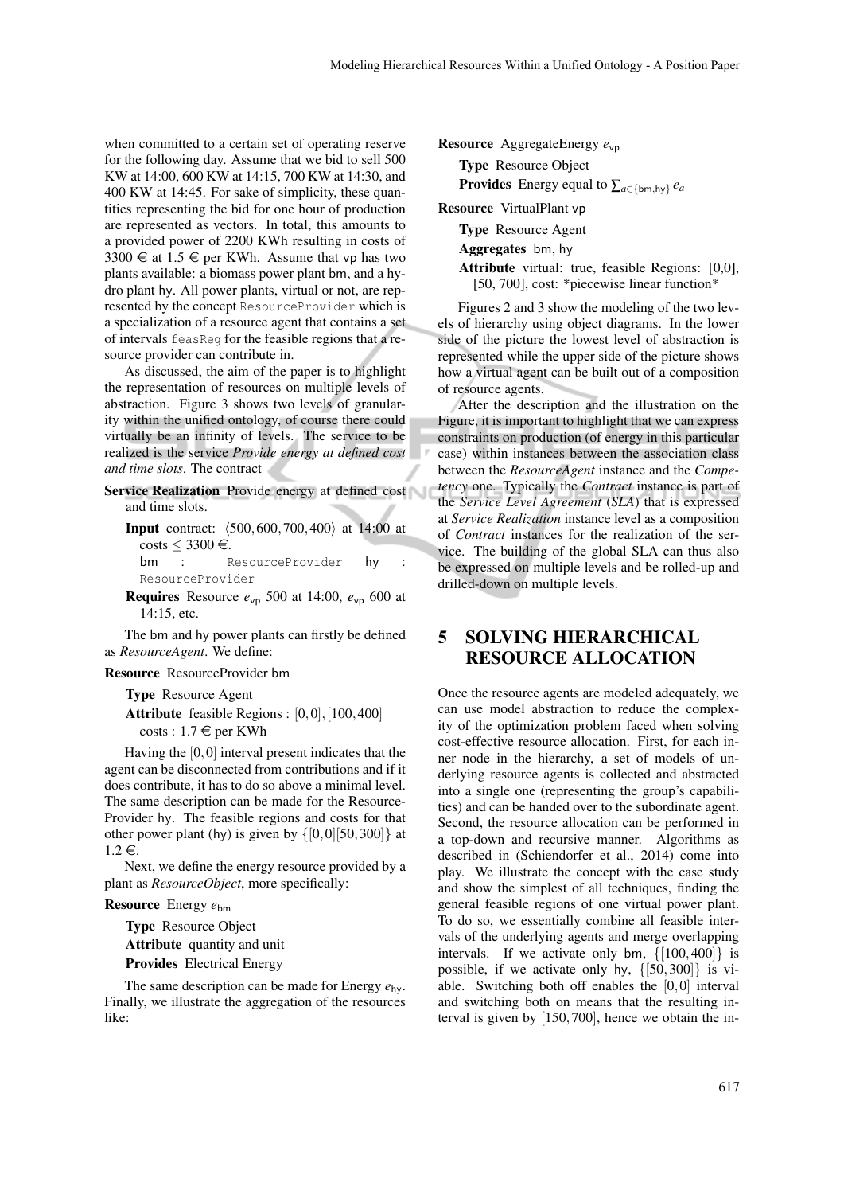when committed to a certain set of operating reserve for the following day. Assume that we bid to sell 500 KW at 14:00, 600 KW at 14:15, 700 KW at 14:30, and 400 KW at 14:45. For sake of simplicity, these quantities representing the bid for one hour of production are represented as vectors. In total, this amounts to a provided power of 2200 KWh resulting in costs of 3300  $\in$  at 1.5  $\in$  per KWh. Assume that vp has two plants available: a biomass power plant bm, and a hydro plant hy. All power plants, virtual or not, are represented by the concept ResourceProvider which is a specialization of a resource agent that contains a set of intervals feasReg for the feasible regions that a resource provider can contribute in.

As discussed, the aim of the paper is to highlight the representation of resources on multiple levels of abstraction. Figure 3 shows two levels of granularity within the unified ontology, of course there could virtually be an infinity of levels. The service to be realized is the service *Provide energy at defined cost and time slots*. The contract

- Service Realization Provide energy at defined cost and time slots.
	- **Input** contract:  $(500,600,700,400)$  at 14:00 at costs  $\leq 3300 \in$ .<br>bm : I

ResourceProvider hy : ResourceProvider

**Requires** Resource  $e_{vp}$  500 at 14:00,  $e_{vp}$  600 at 14:15, etc.

The bm and hy power plants can firstly be defined as *ResourceAgent*. We define:

#### Resource ResourceProvider bm

Type Resource Agent

Attribute feasible Regions : [0,0], [100, 400]  $costs: 1.7 \in per KWh$ 

Having the  $[0,0]$  interval present indicates that the agent can be disconnected from contributions and if it does contribute, it has to do so above a minimal level. The same description can be made for the Resource-Provider hy. The feasible regions and costs for that other power plant (hy) is given by  $\{[0,0][50,300]\}$  at  $1.2 \in$ .

Next, we define the energy resource provided by a plant as *ResourceObject*, more specifically:

### Resource Energy *e*bm

Type Resource Object Attribute quantity and unit

Provides Electrical Energy

The same description can be made for Energy *e*hy. Finally, we illustrate the aggregation of the resources like:

Resource AggregateEnergy *e*vp

Type Resource Object **Provides** Energy equal to  $\sum_{a \in \{bm, h\}} e_a$ 

Resource VirtualPlant vp

Type Resource Agent

Aggregates bm, hy

Attribute virtual: true, feasible Regions: [0,0], [50, 700], cost: \*piecewise linear function\*

Figures 2 and 3 show the modeling of the two levels of hierarchy using object diagrams. In the lower side of the picture the lowest level of abstraction is represented while the upper side of the picture shows how a virtual agent can be built out of a composition of resource agents.

After the description and the illustration on the Figure, it is important to highlight that we can express constraints on production (of energy in this particular case) within instances between the association class between the *ResourceAgent* instance and the *Competency* one. Typically the *Contract* instance is part of the *Service Level Agreement* (*SLA*) that is expressed at *Service Realization* instance level as a composition of *Contract* instances for the realization of the service. The building of the global SLA can thus also be expressed on multiple levels and be rolled-up and drilled-down on multiple levels.

## 5 SOLVING HIERARCHICAL RESOURCE ALLOCATION

Once the resource agents are modeled adequately, we can use model abstraction to reduce the complexity of the optimization problem faced when solving cost-effective resource allocation. First, for each inner node in the hierarchy, a set of models of underlying resource agents is collected and abstracted into a single one (representing the group's capabilities) and can be handed over to the subordinate agent. Second, the resource allocation can be performed in a top-down and recursive manner. Algorithms as described in (Schiendorfer et al., 2014) come into play. We illustrate the concept with the case study and show the simplest of all techniques, finding the general feasible regions of one virtual power plant. To do so, we essentially combine all feasible intervals of the underlying agents and merge overlapping intervals. If we activate only bm, {[100,400]} is possible, if we activate only hy,  $\{50,300\}$  is viable. Switching both off enables the [0,0] interval and switching both on means that the resulting interval is given by [150,700], hence we obtain the in-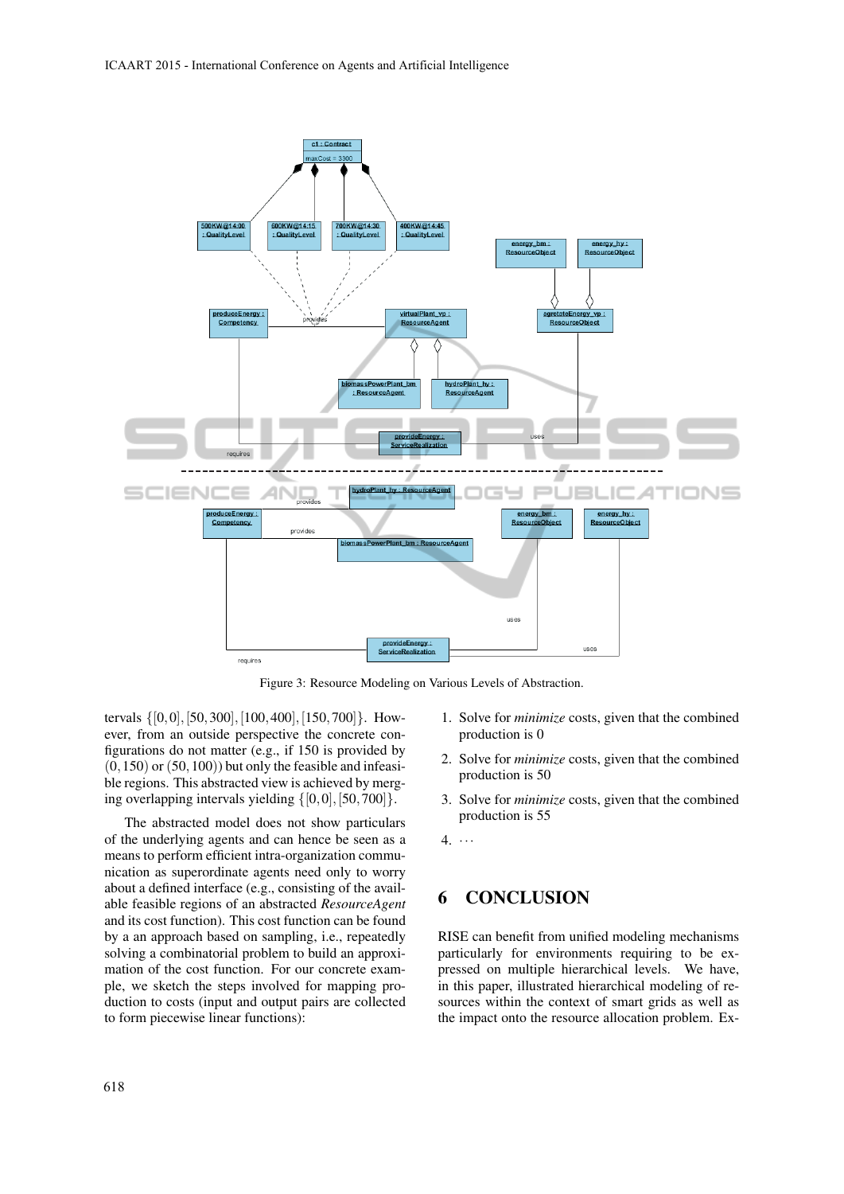

Figure 3: Resource Modeling on Various Levels of Abstraction.

tervals {[0,0],[50,300],[100,400],[150,700]}. However, from an outside perspective the concrete configurations do not matter (e.g., if 150 is provided by  $(0,150)$  or  $(50,100)$ ) but only the feasible and infeasible regions. This abstracted view is achieved by merging overlapping intervals yielding  $\{[0,0],[50,700]\}.$ 

The abstracted model does not show particulars of the underlying agents and can hence be seen as a means to perform efficient intra-organization communication as superordinate agents need only to worry about a defined interface (e.g., consisting of the available feasible regions of an abstracted *ResourceAgent* and its cost function). This cost function can be found by a an approach based on sampling, i.e., repeatedly solving a combinatorial problem to build an approximation of the cost function. For our concrete example, we sketch the steps involved for mapping production to costs (input and output pairs are collected to form piecewise linear functions):

- 1. Solve for *minimize* costs, given that the combined production is 0
- 2. Solve for *minimize* costs, given that the combined production is 50
- 3. Solve for *minimize* costs, given that the combined production is 55
- $4. \cdot \cdot \cdot$

## 6 CONCLUSION

RISE can benefit from unified modeling mechanisms particularly for environments requiring to be expressed on multiple hierarchical levels. We have, in this paper, illustrated hierarchical modeling of resources within the context of smart grids as well as the impact onto the resource allocation problem. Ex